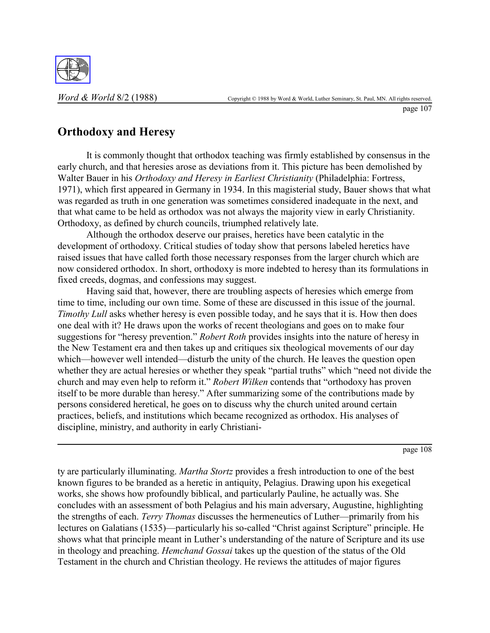

page 107

## **Orthodoxy and Heresy**

It is commonly thought that orthodox teaching was firmly established by consensus in the early church, and that heresies arose as deviations from it. This picture has been demolished by Walter Bauer in his *Orthodoxy and Heresy in Earliest Christianity* (Philadelphia: Fortress, 1971), which first appeared in Germany in 1934. In this magisterial study, Bauer shows that what was regarded as truth in one generation was sometimes considered inadequate in the next, and that what came to be held as orthodox was not always the majority view in early Christianity. Orthodoxy, as defined by church councils, triumphed relatively late.

Although the orthodox deserve our praises, heretics have been catalytic in the development of orthodoxy. Critical studies of today show that persons labeled heretics have raised issues that have called forth those necessary responses from the larger church which are now considered orthodox. In short, orthodoxy is more indebted to heresy than its formulations in fixed creeds, dogmas, and confessions may suggest.

Having said that, however, there are troubling aspects of heresies which emerge from time to time, including our own time. Some of these are discussed in this issue of the journal. *Timothy Lull* asks whether heresy is even possible today, and he says that it is. How then does one deal with it? He draws upon the works of recent theologians and goes on to make four suggestions for "heresy prevention." *Robert Roth* provides insights into the nature of heresy in the New Testament era and then takes up and critiques six theological movements of our day which—however well intended—disturb the unity of the church. He leaves the question open whether they are actual heresies or whether they speak "partial truths" which "need not divide the church and may even help to reform it." *Robert Wilken* contends that "orthodoxy has proven itself to be more durable than heresy." After summarizing some of the contributions made by persons considered heretical, he goes on to discuss why the church united around certain practices, beliefs, and institutions which became recognized as orthodox. His analyses of discipline, ministry, and authority in early Christiani-

page 108

ty are particularly illuminating. *Martha Stortz* provides a fresh introduction to one of the best known figures to be branded as a heretic in antiquity, Pelagius. Drawing upon his exegetical works, she shows how profoundly biblical, and particularly Pauline, he actually was. She concludes with an assessment of both Pelagius and his main adversary, Augustine, highlighting the strengths of each. *Terry Thomas* discusses the hermeneutics of Luther—primarily from his lectures on Galatians (1535)—particularly his so-called "Christ against Scripture" principle. He shows what that principle meant in Luther's understanding of the nature of Scripture and its use in theology and preaching. *Hemchand Gossai* takes up the question of the status of the Old Testament in the church and Christian theology. He reviews the attitudes of major figures